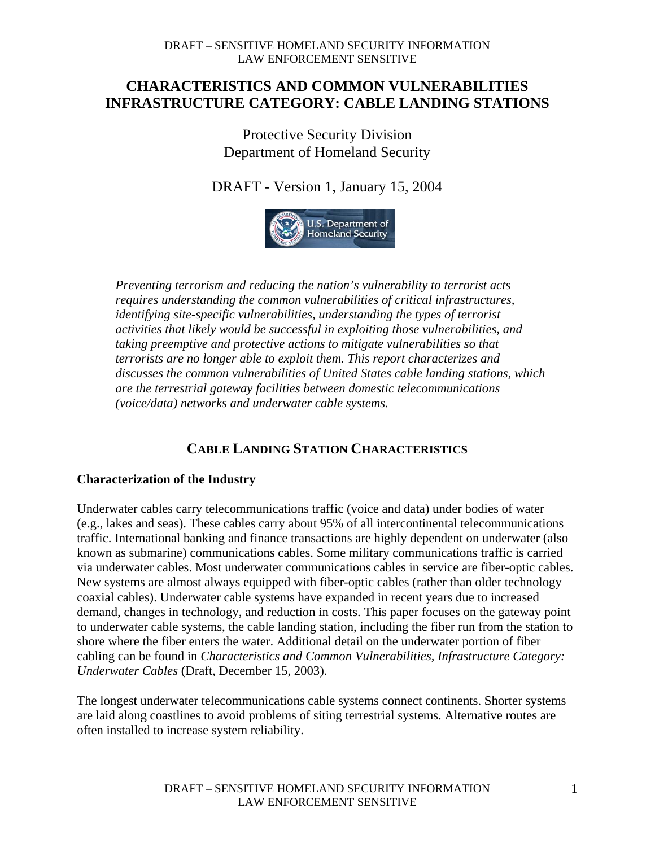# **CHARACTERISTICS AND COMMON VULNERABILITIES INFRASTRUCTURE CATEGORY: CABLE LANDING STATIONS**

Protective Security Division Department of Homeland Security

DRAFT - Version 1, January 15, 2004



*Preventing terrorism and reducing the nation's vulnerability to terrorist acts requires understanding the common vulnerabilities of critical infrastructures, identifying site-specific vulnerabilities, understanding the types of terrorist activities that likely would be successful in exploiting those vulnerabilities, and taking preemptive and protective actions to mitigate vulnerabilities so that terrorists are no longer able to exploit them. This report characterizes and discusses the common vulnerabilities of United States cable landing stations, which are the terrestrial gateway facilities between domestic telecommunications (voice/data) networks and underwater cable systems.* 

# **CABLE LANDING STATION CHARACTERISTICS**

### **Characterization of the Industry**

Underwater cables carry telecommunications traffic (voice and data) under bodies of water (e.g., lakes and seas). These cables carry about 95% of all intercontinental telecommunications traffic. International banking and finance transactions are highly dependent on underwater (also known as submarine) communications cables. Some military communications traffic is carried via underwater cables. Most underwater communications cables in service are fiber-optic cables. New systems are almost always equipped with fiber-optic cables (rather than older technology coaxial cables). Underwater cable systems have expanded in recent years due to increased demand, changes in technology, and reduction in costs. This paper focuses on the gateway point to underwater cable systems, the cable landing station, including the fiber run from the station to shore where the fiber enters the water. Additional detail on the underwater portion of fiber cabling can be found in *Characteristics and Common Vulnerabilities, Infrastructure Category: Underwater Cables* (Draft, December 15, 2003).

The longest underwater telecommunications cable systems connect continents. Shorter systems are laid along coastlines to avoid problems of siting terrestrial systems. Alternative routes are often installed to increase system reliability.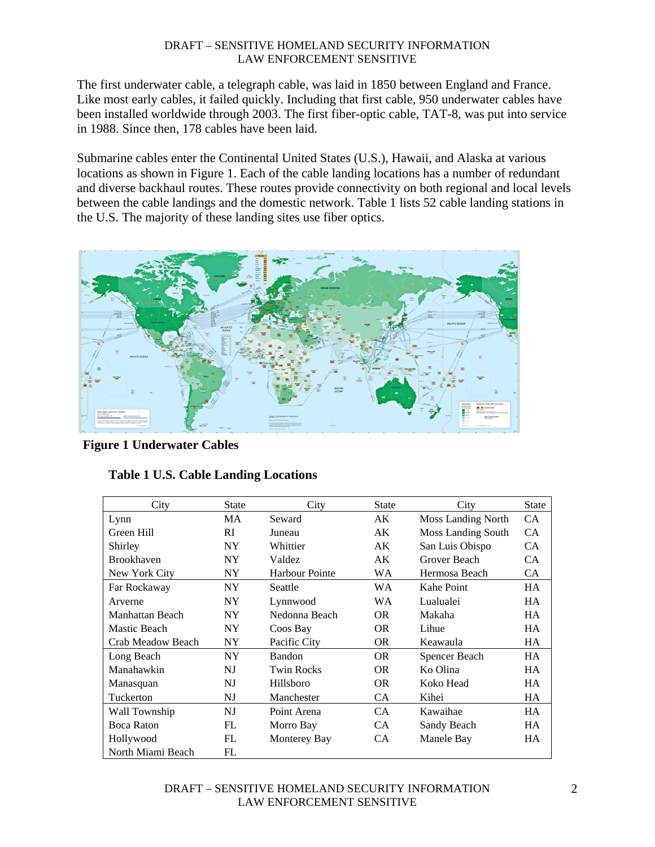The first underwater cable, a telegraph cable, was laid in 1850 between England and France. Like most early cables, it failed quickly. Including that first cable, 950 underwater cables have been installed worldwide through 2003. The first fiber-optic cable, TAT-8, was put into service in 1988. Since then, 178 cables have been laid.

Submarine cables enter the Continental United States (U.S.), Hawaii, and Alaska at various locations as shown in Figure 1. Each of the cable landing locations has a number of redundant and diverse backhaul routes. These routes provide connectivity on both regional and local levels between the cable landings and the domestic network. Table 1 lists 52 cable landing stations in the U.S. The majority of these landing sites use fiber optics.



 **Figure 1 Underwater Cables**

|  |  | <b>Table 1 U.S. Cable Landing Locations</b> |
|--|--|---------------------------------------------|
|  |  |                                             |

| City              | <b>State</b> | City                  | <b>State</b> | City                      | <b>State</b> |
|-------------------|--------------|-----------------------|--------------|---------------------------|--------------|
| Lynn              | <b>MA</b>    | Seward                | AK           | <b>Moss Landing North</b> | CA.          |
| Green Hill        | RI           | Juneau                | AK           | <b>Moss Landing South</b> | CA           |
| Shirley           | NY.          | Whittier              | AK           | San Luis Obispo           | CA           |
| <b>Brookhaven</b> | NY.          | Valdez                | AK           | Grover Beach              | CA           |
| New York City     | NY.          | <b>Harbour Pointe</b> | WA           | Hermosa Beach             | CA           |
| Far Rockaway      | NY.          | Seattle               | <b>WA</b>    | Kahe Point                | <b>HA</b>    |
| Arverne           | NY.          | Lynnwood              | <b>WA</b>    | Lualualei                 | <b>HA</b>    |
| Manhattan Beach   | NY.          | Nedonna Beach         | OR.          | Makaha                    | <b>HA</b>    |
| Mastic Beach      | NY.          | Coos Bay              | OR.          | Lihue                     | HA.          |
| Crab Meadow Beach | <b>NY</b>    | Pacific City          | <b>OR</b>    | Keawaula                  | <b>HA</b>    |
| Long Beach        | NY.          | <b>Bandon</b>         | OR.          | Spencer Beach             | HA.          |
| Manahawkin        | NJ           | <b>Twin Rocks</b>     | <b>OR</b>    | Ko Olina                  | <b>HA</b>    |
| Manasquan         | NJ           | Hillsboro             | <b>OR</b>    | Koko Head                 | <b>HA</b>    |
| Tuckerton         | NJ           | Manchester            | CA.          | Kihei                     | HA.          |
| Wall Township     | NJ           | Point Arena           | CA.          | Kawaihae                  | HA.          |
| <b>Boca Raton</b> | FL           | Morro Bay             | CA.          | Sandy Beach               | <b>HA</b>    |
| Hollywood         | FL           | Monterey Bay          | CA.          | Manele Bay                | <b>HA</b>    |
| North Miami Beach | FL           |                       |              |                           |              |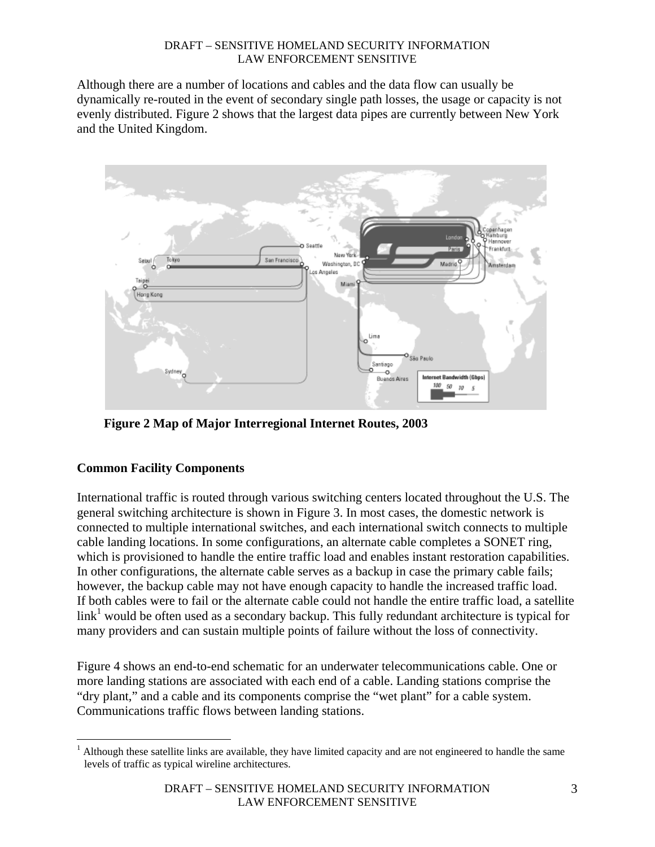Although there are a number of locations and cables and the data flow can usually be dynamically re-routed in the event of secondary single path losses, the usage or capacity is not evenly distributed. Figure 2 shows that the largest data pipes are currently between New York and the United Kingdom.



 **Figure 2 Map of Major Interregional Internet Routes, 2003** 

# **Common Facility Components**

 $\overline{a}$ 

International traffic is routed through various switching centers located throughout the U.S. The general switching architecture is shown in Figure 3. In most cases, the domestic network is connected to multiple international switches, and each international switch connects to multiple cable landing locations. In some configurations, an alternate cable completes a SONET ring, which is provisioned to handle the entire traffic load and enables instant restoration capabilities. In other configurations, the alternate cable serves as a backup in case the primary cable fails; however, the backup cable may not have enough capacity to handle the increased traffic load. If both cables were to fail or the alternate cable could not handle the entire traffic load, a satellite  $\text{link}^1$  would be often used as a secondary backup. This fully redundant architecture is typical for many providers and can sustain multiple points of failure without the loss of connectivity.

Figure 4 shows an end-to-end schematic for an underwater telecommunications cable. One or more landing stations are associated with each end of a cable. Landing stations comprise the "dry plant," and a cable and its components comprise the "wet plant" for a cable system. Communications traffic flows between landing stations.

 $<sup>1</sup>$  Although these satellite links are available, they have limited capacity and are not engineered to handle the same</sup> levels of traffic as typical wireline architectures.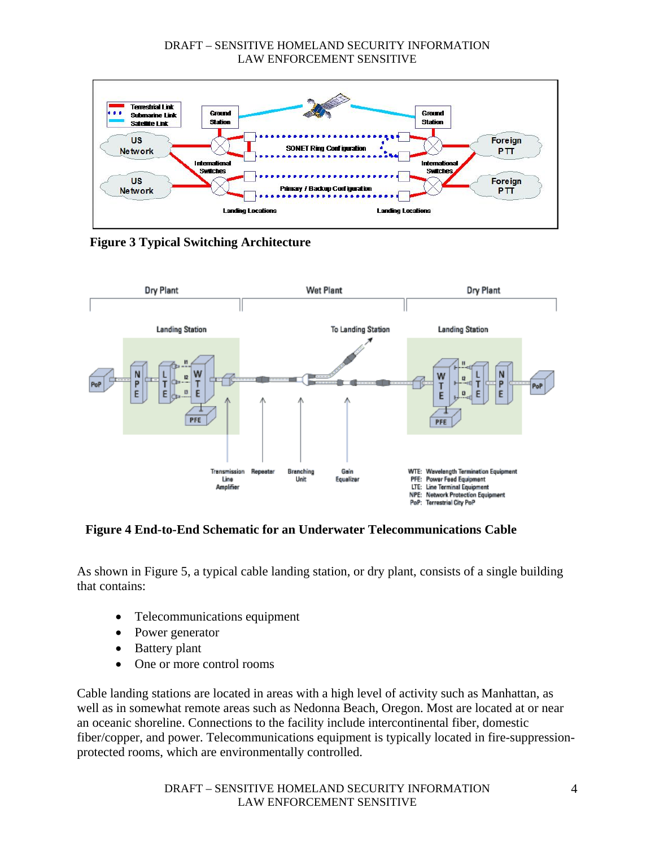

**Figure 3 Typical Switching Architecture** 



### **Figure 4 End-to-End Schematic for an Underwater Telecommunications Cable**

As shown in Figure 5, a typical cable landing station, or dry plant, consists of a single building that contains:

- Telecommunications equipment
- Power generator
- Battery plant
- One or more control rooms

Cable landing stations are located in areas with a high level of activity such as Manhattan, as well as in somewhat remote areas such as Nedonna Beach, Oregon. Most are located at or near an oceanic shoreline. Connections to the facility include intercontinental fiber, domestic fiber/copper, and power. Telecommunications equipment is typically located in fire-suppressionprotected rooms, which are environmentally controlled.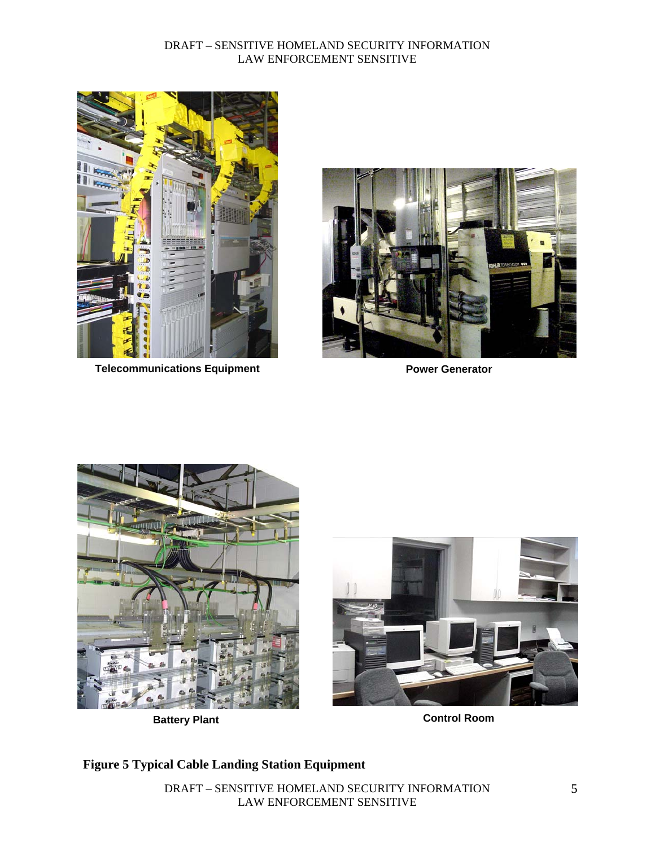

**Telecommunications Equipment Communications Figure 1 Accord Power Generator** 







**Battery Plant Control Room Control Room** 

# **Figure 5 Typical Cable Landing Station Equipment**

DRAFT – SENSITIVE HOMELAND SECURITY INFORMATION LAW ENFORCEMENT SENSITIVE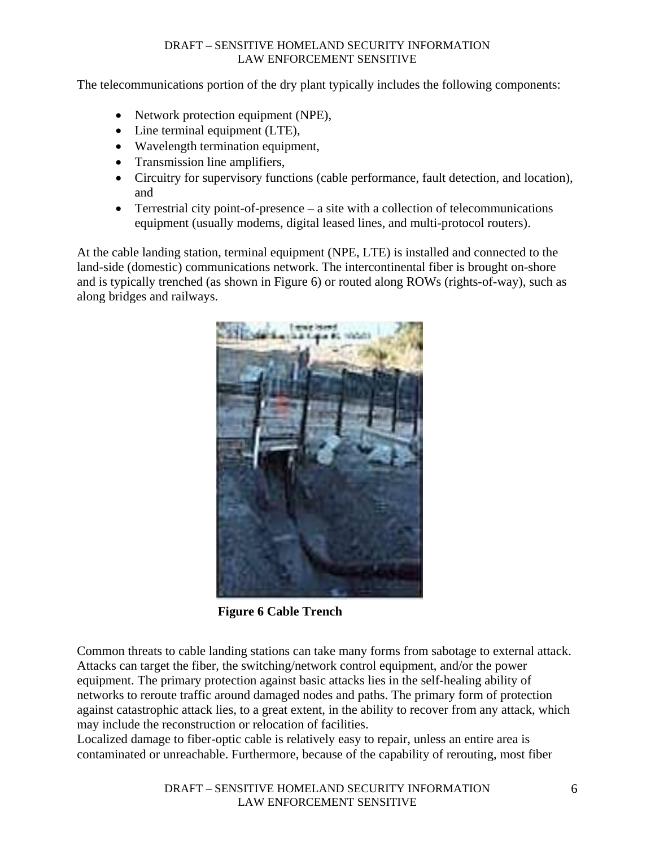The telecommunications portion of the dry plant typically includes the following components:

- Network protection equipment (NPE),
- Line terminal equipment (LTE),
- Wavelength termination equipment,
- Transmission line amplifiers,
- Circuitry for supervisory functions (cable performance, fault detection, and location), and
- Terrestrial city point-of-presence a site with a collection of telecommunications equipment (usually modems, digital leased lines, and multi-protocol routers).

At the cable landing station, terminal equipment (NPE, LTE) is installed and connected to the land-side (domestic) communications network. The intercontinental fiber is brought on-shore and is typically trenched (as shown in Figure 6) or routed along ROWs (rights-of-way), such as along bridges and railways.



 **Figure 6 Cable Trench** 

Common threats to cable landing stations can take many forms from sabotage to external attack. Attacks can target the fiber, the switching/network control equipment, and/or the power equipment. The primary protection against basic attacks lies in the self-healing ability of networks to reroute traffic around damaged nodes and paths. The primary form of protection against catastrophic attack lies, to a great extent, in the ability to recover from any attack, which may include the reconstruction or relocation of facilities.

Localized damage to fiber-optic cable is relatively easy to repair, unless an entire area is contaminated or unreachable. Furthermore, because of the capability of rerouting, most fiber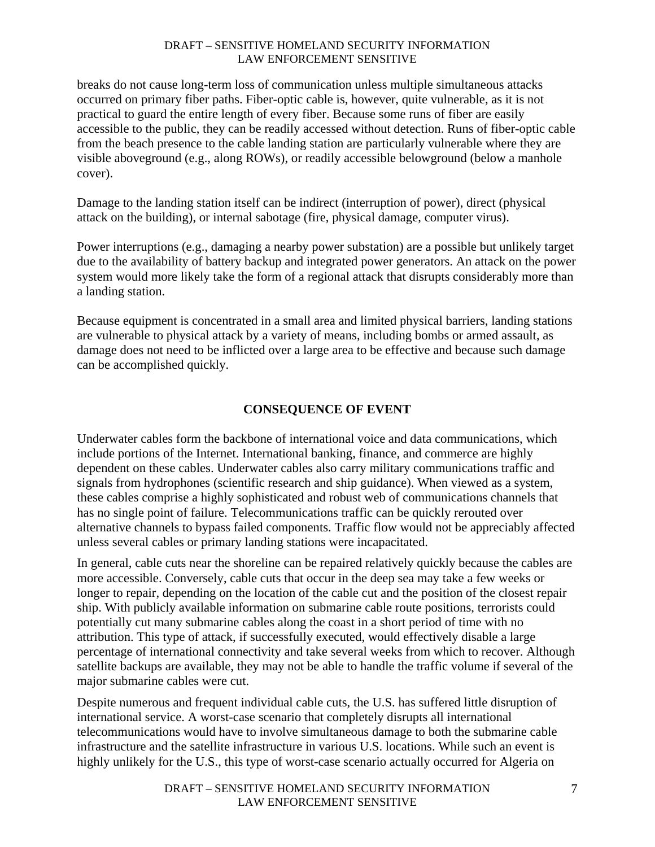breaks do not cause long-term loss of communication unless multiple simultaneous attacks occurred on primary fiber paths. Fiber-optic cable is, however, quite vulnerable, as it is not practical to guard the entire length of every fiber. Because some runs of fiber are easily accessible to the public, they can be readily accessed without detection. Runs of fiber-optic cable from the beach presence to the cable landing station are particularly vulnerable where they are visible aboveground (e.g., along ROWs), or readily accessible belowground (below a manhole cover).

Damage to the landing station itself can be indirect (interruption of power), direct (physical attack on the building), or internal sabotage (fire, physical damage, computer virus).

Power interruptions (e.g., damaging a nearby power substation) are a possible but unlikely target due to the availability of battery backup and integrated power generators. An attack on the power system would more likely take the form of a regional attack that disrupts considerably more than a landing station.

Because equipment is concentrated in a small area and limited physical barriers, landing stations are vulnerable to physical attack by a variety of means, including bombs or armed assault, as damage does not need to be inflicted over a large area to be effective and because such damage can be accomplished quickly.

# **CONSEQUENCE OF EVENT**

Underwater cables form the backbone of international voice and data communications, which include portions of the Internet. International banking, finance, and commerce are highly dependent on these cables. Underwater cables also carry military communications traffic and signals from hydrophones (scientific research and ship guidance). When viewed as a system, these cables comprise a highly sophisticated and robust web of communications channels that has no single point of failure. Telecommunications traffic can be quickly rerouted over alternative channels to bypass failed components. Traffic flow would not be appreciably affected unless several cables or primary landing stations were incapacitated.

In general, cable cuts near the shoreline can be repaired relatively quickly because the cables are more accessible. Conversely, cable cuts that occur in the deep sea may take a few weeks or longer to repair, depending on the location of the cable cut and the position of the closest repair ship. With publicly available information on submarine cable route positions, terrorists could potentially cut many submarine cables along the coast in a short period of time with no attribution. This type of attack, if successfully executed, would effectively disable a large percentage of international connectivity and take several weeks from which to recover. Although satellite backups are available, they may not be able to handle the traffic volume if several of the major submarine cables were cut.

Despite numerous and frequent individual cable cuts, the U.S. has suffered little disruption of international service. A worst-case scenario that completely disrupts all international telecommunications would have to involve simultaneous damage to both the submarine cable infrastructure and the satellite infrastructure in various U.S. locations. While such an event is highly unlikely for the U.S., this type of worst-case scenario actually occurred for Algeria on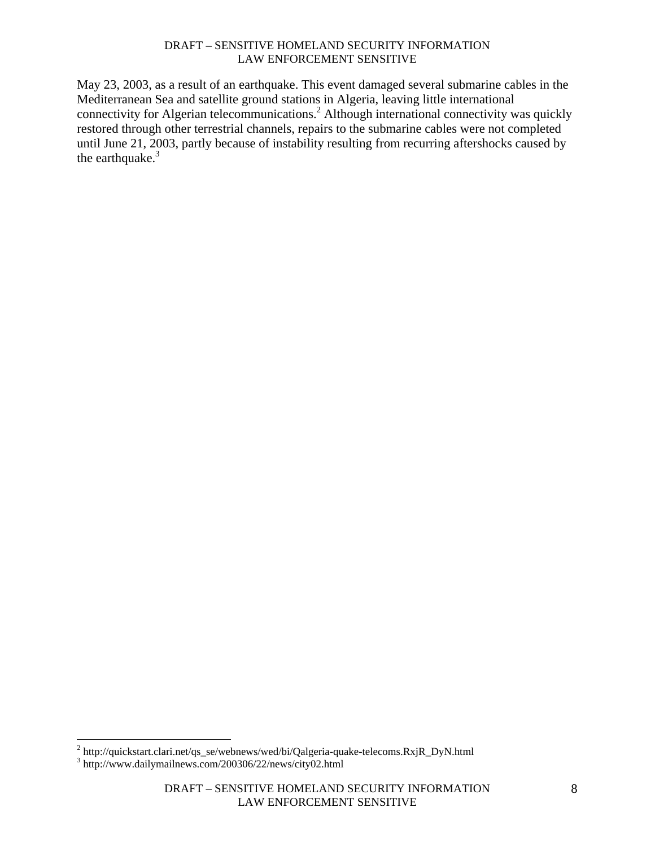May 23, 2003, as a result of an earthquake. This event damaged several submarine cables in the Mediterranean Sea and satellite ground stations in Algeria, leaving little international connectivity for Algerian telecommunications.<sup>2</sup> Although international connectivity was quickly restored through other terrestrial channels, repairs to the submarine cables were not completed until June 21, 2003, partly because of instability resulting from recurring aftershocks caused by the earthquake.<sup>3</sup>

<sup>2&</sup>lt;br>
<sup>2</sup> http://quickstart.clari.net/qs\_se/webnews/wed/bi/Qalgeria-quake-telecoms.RxjR\_DyN.html<br>
<sup>3</sup> http://www.doilymoilpews.com/200306/22/pews/eity02.html

<sup>&</sup>lt;sup>3</sup> http://www.dailymailnews.com/200306/22/news/city02.html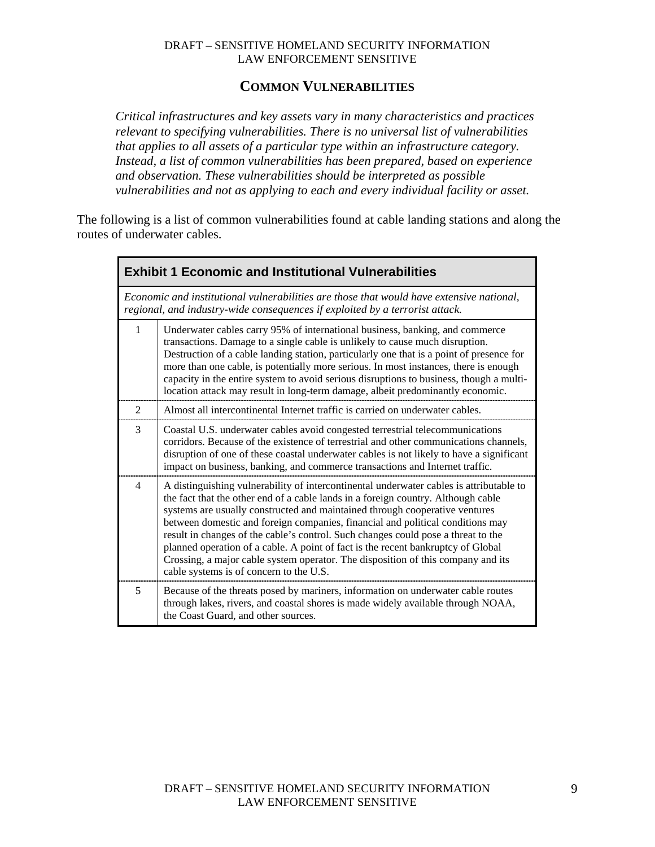### **COMMON VULNERABILITIES**

*Critical infrastructures and key assets vary in many characteristics and practices relevant to specifying vulnerabilities. There is no universal list of vulnerabilities that applies to all assets of a particular type within an infrastructure category. Instead, a list of common vulnerabilities has been prepared, based on experience and observation. These vulnerabilities should be interpreted as possible vulnerabilities and not as applying to each and every individual facility or asset.* 

The following is a list of common vulnerabilities found at cable landing stations and along the routes of underwater cables.

| <b>Exhibit 1 Economic and Institutional Vulnerabilities</b> |                                                                                                                                                                                                                                                                                                                                                                                                                                                                                                                                                                                                                                                       |  |
|-------------------------------------------------------------|-------------------------------------------------------------------------------------------------------------------------------------------------------------------------------------------------------------------------------------------------------------------------------------------------------------------------------------------------------------------------------------------------------------------------------------------------------------------------------------------------------------------------------------------------------------------------------------------------------------------------------------------------------|--|
|                                                             | Economic and institutional vulnerabilities are those that would have extensive national,<br>regional, and industry-wide consequences if exploited by a terrorist attack.                                                                                                                                                                                                                                                                                                                                                                                                                                                                              |  |
| $\mathbf{1}$                                                | Underwater cables carry 95% of international business, banking, and commerce<br>transactions. Damage to a single cable is unlikely to cause much disruption.<br>Destruction of a cable landing station, particularly one that is a point of presence for<br>more than one cable, is potentially more serious. In most instances, there is enough<br>capacity in the entire system to avoid serious disruptions to business, though a multi-<br>location attack may result in long-term damage, albeit predominantly economic.                                                                                                                         |  |
| 2                                                           | Almost all intercontinental Internet traffic is carried on underwater cables.                                                                                                                                                                                                                                                                                                                                                                                                                                                                                                                                                                         |  |
| 3                                                           | Coastal U.S. underwater cables avoid congested terrestrial telecommunications<br>corridors. Because of the existence of terrestrial and other communications channels,<br>disruption of one of these coastal underwater cables is not likely to have a significant<br>impact on business, banking, and commerce transactions and Internet traffic.                                                                                                                                                                                                                                                                                                    |  |
| $\overline{4}$                                              | A distinguishing vulnerability of intercontinental underwater cables is attributable to<br>the fact that the other end of a cable lands in a foreign country. Although cable<br>systems are usually constructed and maintained through cooperative ventures<br>between domestic and foreign companies, financial and political conditions may<br>result in changes of the cable's control. Such changes could pose a threat to the<br>planned operation of a cable. A point of fact is the recent bankruptcy of Global<br>Crossing, a major cable system operator. The disposition of this company and its<br>cable systems is of concern to the U.S. |  |
| 5                                                           | Because of the threats posed by mariners, information on underwater cable routes<br>through lakes, rivers, and coastal shores is made widely available through NOAA,<br>the Coast Guard, and other sources.                                                                                                                                                                                                                                                                                                                                                                                                                                           |  |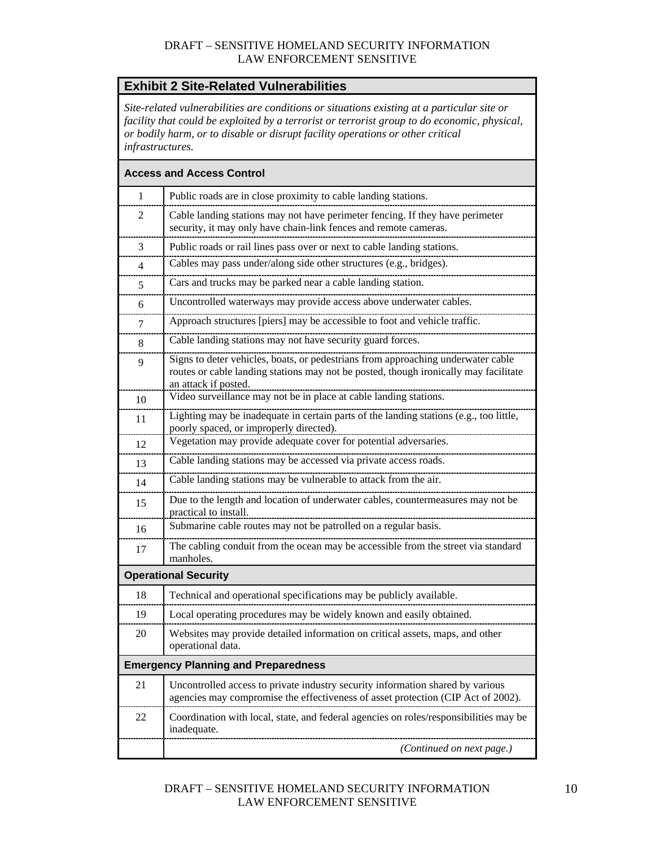# **Exhibit 2 Site-Related Vulnerabilities**

*Site-related vulnerabilities are conditions or situations existing at a particular site or facility that could be exploited by a terrorist or terrorist group to do economic, physical, or bodily harm, or to disable or disrupt facility operations or other critical infrastructures.* 

|                | <b>Access and Access Control</b>                                                                                                                                                                 |
|----------------|--------------------------------------------------------------------------------------------------------------------------------------------------------------------------------------------------|
| $\mathbf{1}$   | Public roads are in close proximity to cable landing stations.                                                                                                                                   |
| 2              | Cable landing stations may not have perimeter fencing. If they have perimeter<br>security, it may only have chain-link fences and remote cameras.                                                |
| 3              | Public roads or rail lines pass over or next to cable landing stations.                                                                                                                          |
| $\overline{4}$ | Cables may pass under/along side other structures (e.g., bridges).                                                                                                                               |
| 5              | Cars and trucks may be parked near a cable landing station.                                                                                                                                      |
| 6              | Uncontrolled waterways may provide access above underwater cables.                                                                                                                               |
| 7              | Approach structures [piers] may be accessible to foot and vehicle traffic.                                                                                                                       |
| 8              | Cable landing stations may not have security guard forces.                                                                                                                                       |
| 9              | Signs to deter vehicles, boats, or pedestrians from approaching underwater cable<br>routes or cable landing stations may not be posted, though ironically may facilitate<br>an attack if posted. |
| 10             | Video surveillance may not be in place at cable landing stations.                                                                                                                                |
| 11             | Lighting may be inadequate in certain parts of the landing stations (e.g., too little,<br>poorly spaced, or improperly directed).                                                                |
| 12             | Vegetation may provide adequate cover for potential adversaries.                                                                                                                                 |
| 13             | Cable landing stations may be accessed via private access roads.                                                                                                                                 |
| 14             | Cable landing stations may be vulnerable to attack from the air.                                                                                                                                 |
| 15             | Due to the length and location of underwater cables, countermeasures may not be<br>practical to install.                                                                                         |
| 16             | Submarine cable routes may not be patrolled on a regular basis.                                                                                                                                  |
| 17             | The cabling conduit from the ocean may be accessible from the street via standard<br>manholes.                                                                                                   |
|                | <b>Operational Security</b>                                                                                                                                                                      |
| 18             | Technical and operational specifications may be publicly available.                                                                                                                              |
| 19             | Local operating procedures may be widely known and easily obtained.                                                                                                                              |
| 20             | Websites may provide detailed information on critical assets, maps, and other<br>operational data.                                                                                               |
|                | <b>Emergency Planning and Preparedness</b>                                                                                                                                                       |
| 21             | Uncontrolled access to private industry security information shared by various<br>agencies may compromise the effectiveness of asset protection (CIP Act of 2002).                               |
| 22             | Coordination with local, state, and federal agencies on roles/responsibilities may be<br>inadequate.                                                                                             |
|                | (Continued on next page.)                                                                                                                                                                        |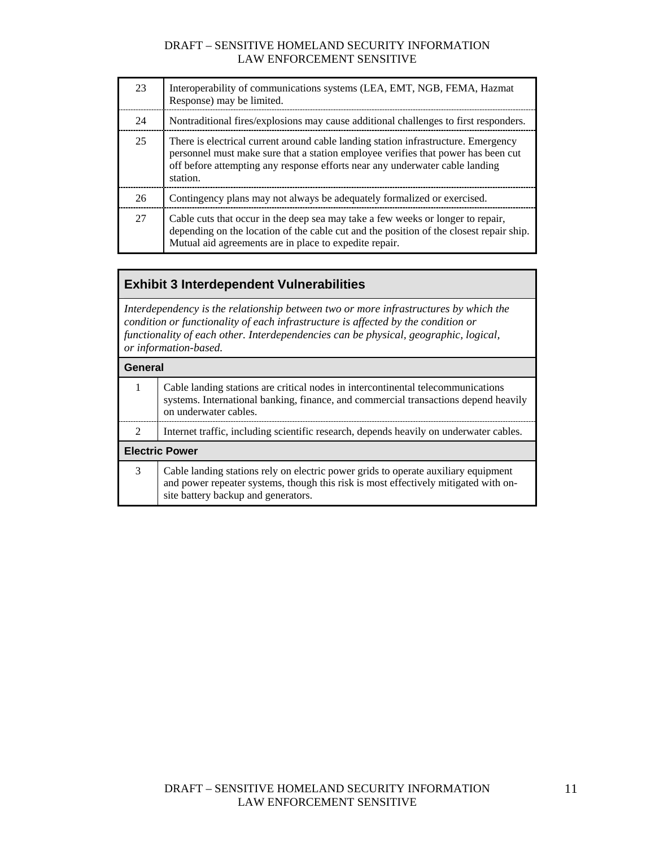| 23 | Interoperability of communications systems (LEA, EMT, NGB, FEMA, Hazmat<br>Response) may be limited.                                                                                                                                                                |
|----|---------------------------------------------------------------------------------------------------------------------------------------------------------------------------------------------------------------------------------------------------------------------|
| 24 | Nontraditional fires/explosions may cause additional challenges to first responders.                                                                                                                                                                                |
| 25 | There is electrical current around cable landing station infrastructure. Emergency<br>personnel must make sure that a station employee verifies that power has been cut<br>off before attempting any response efforts near any underwater cable landing<br>station. |
| 26 | Contingency plans may not always be adequately formalized or exercised.                                                                                                                                                                                             |
| 27 | Cable cuts that occur in the deep sea may take a few weeks or longer to repair,<br>depending on the location of the cable cut and the position of the closest repair ship.<br>Mutual aid agreements are in place to expedite repair.                                |

# **Exhibit 3 Interdependent Vulnerabilities**

*Interdependency is the relationship between two or more infrastructures by which the condition or functionality of each infrastructure is affected by the condition or functionality of each other. Interdependencies can be physical, geographic, logical, or information-based.* 

|                       | General                                                                                                                                                                                                          |  |
|-----------------------|------------------------------------------------------------------------------------------------------------------------------------------------------------------------------------------------------------------|--|
| 1                     | Cable landing stations are critical nodes in intercontinental telecommunications<br>systems. International banking, finance, and commercial transactions depend heavily<br>on underwater cables.                 |  |
| 2                     | Internet traffic, including scientific research, depends heavily on underwater cables.                                                                                                                           |  |
| <b>Electric Power</b> |                                                                                                                                                                                                                  |  |
| 3                     | Cable landing stations rely on electric power grids to operate auxiliary equipment<br>and power repeater systems, though this risk is most effectively mitigated with on-<br>site battery backup and generators. |  |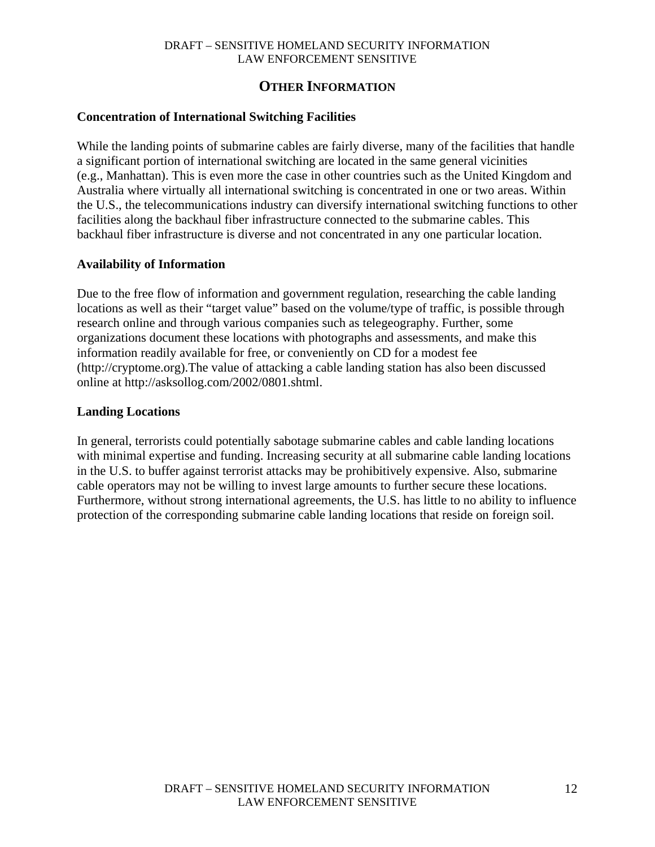## **OTHER INFORMATION**

### **Concentration of International Switching Facilities**

While the landing points of submarine cables are fairly diverse, many of the facilities that handle a significant portion of international switching are located in the same general vicinities (e.g., Manhattan). This is even more the case in other countries such as the United Kingdom and Australia where virtually all international switching is concentrated in one or two areas. Within the U.S., the telecommunications industry can diversify international switching functions to other facilities along the backhaul fiber infrastructure connected to the submarine cables. This backhaul fiber infrastructure is diverse and not concentrated in any one particular location.

### **Availability of Information**

Due to the free flow of information and government regulation, researching the cable landing locations as well as their "target value" based on the volume/type of traffic, is possible through research online and through various companies such as telegeography. Further, some organizations document these locations with photographs and assessments, and make this information readily available for free, or conveniently on CD for a modest fee (http://cryptome.org).The value of attacking a cable landing station has also been discussed online at http://asksollog.com/2002/0801.shtml.

### **Landing Locations**

In general, terrorists could potentially sabotage submarine cables and cable landing locations with minimal expertise and funding. Increasing security at all submarine cable landing locations in the U.S. to buffer against terrorist attacks may be prohibitively expensive. Also, submarine cable operators may not be willing to invest large amounts to further secure these locations. Furthermore, without strong international agreements, the U.S. has little to no ability to influence protection of the corresponding submarine cable landing locations that reside on foreign soil.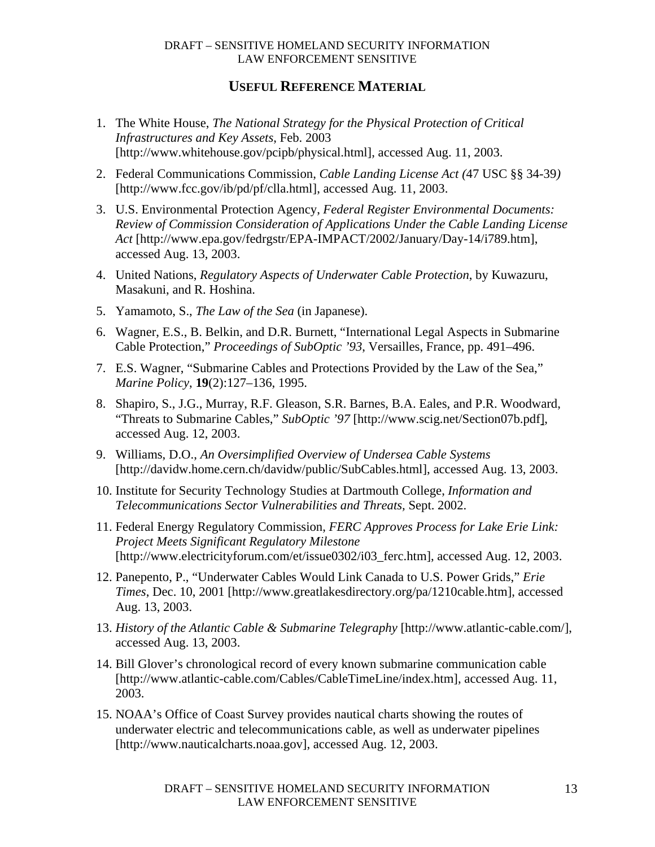### **USEFUL REFERENCE MATERIAL**

- 1. The White House, *The National Strategy for the Physical Protection of Critical Infrastructures and Key Assets*, Feb. 2003 [http://www.whitehouse.gov/pcipb/physical.html], accessed Aug. 11, 2003.
- 2. Federal Communications Commission, *Cable Landing License Act (*47 USC §§ 34-39*)* [http://www.fcc.gov/ib/pd/pf/clla.html], accessed Aug. 11, 2003.
- 3. U.S. Environmental Protection Agency, *Federal Register Environmental Documents: Review of Commission Consideration of Applications Under the Cable Landing License Act* [http://www.epa.gov/fedrgstr/EPA-IMPACT/2002/January/Day-14/i789.htm], accessed Aug. 13, 2003.
- 4. United Nations, *Regulatory Aspects of Underwater Cable Protection*, by Kuwazuru, Masakuni, and R. Hoshina.
- 5. Yamamoto, S., *The Law of the Sea* (in Japanese).
- 6. Wagner, E.S., B. Belkin, and D.R. Burnett, "International Legal Aspects in Submarine Cable Protection," *Proceedings of SubOptic '93*, Versailles, France, pp. 491–496.
- 7. E.S. Wagner, "Submarine Cables and Protections Provided by the Law of the Sea," *Marine Policy*, **19**(2):127–136, 1995.
- 8. Shapiro, S., J.G., Murray, R.F. Gleason, S.R. Barnes, B.A. Eales, and P.R. Woodward, "Threats to Submarine Cables," *SubOptic '97* [http://www.scig.net/Section07b.pdf], accessed Aug. 12, 2003.
- 9. Williams, D.O., *An Oversimplified Overview of Undersea Cable Systems* [http://davidw.home.cern.ch/davidw/public/SubCables.html], accessed Aug. 13, 2003.
- 10. Institute for Security Technology Studies at Dartmouth College, *Information and Telecommunications Sector Vulnerabilities and Threats,* Sept. 2002.
- 11. Federal Energy Regulatory Commission, *FERC Approves Process for Lake Erie Link: Project Meets Significant Regulatory Milestone* [http://www.electricityforum.com/et/issue0302/i03\_ferc.htm], accessed Aug. 12, 2003.
- 12. Panepento, P., "Underwater Cables Would Link Canada to U.S. Power Grids," *Erie Times*, Dec. 10, 2001 [http://www.greatlakesdirectory.org/pa/1210cable.htm], accessed Aug. 13, 2003.
- 13. *History of the Atlantic Cable & Submarine Telegraphy* [http://www.atlantic-cable.com/], accessed Aug. 13, 2003.
- 14. Bill Glover's chronological record of every known submarine communication cable [http://www.atlantic-cable.com/Cables/CableTimeLine/index.htm], accessed Aug. 11, 2003.
- 15. NOAA's Office of Coast Survey provides nautical charts showing the routes of underwater electric and telecommunications cable, as well as underwater pipelines [http://www.nauticalcharts.noaa.gov], accessed Aug. 12, 2003.